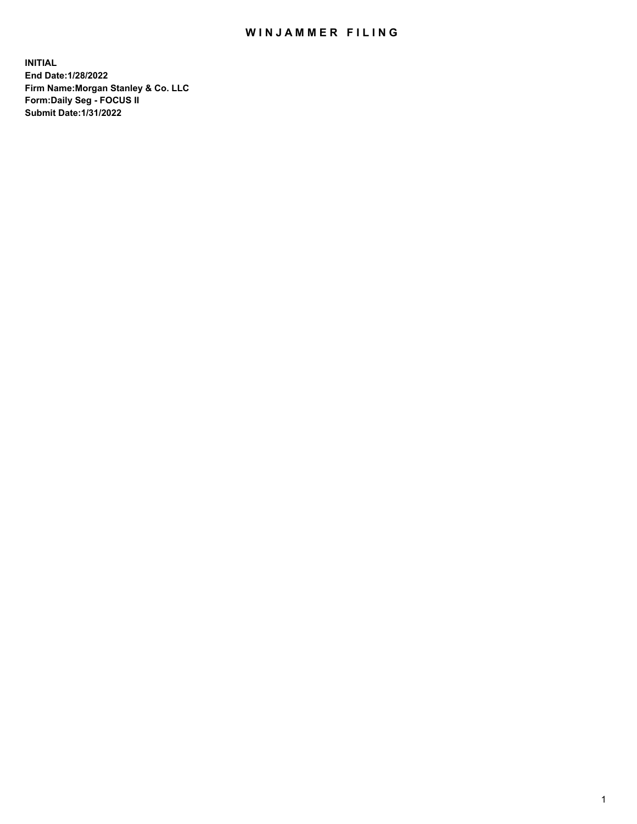## WIN JAMMER FILING

**INITIAL End Date:1/28/2022 Firm Name:Morgan Stanley & Co. LLC Form:Daily Seg - FOCUS II Submit Date:1/31/2022**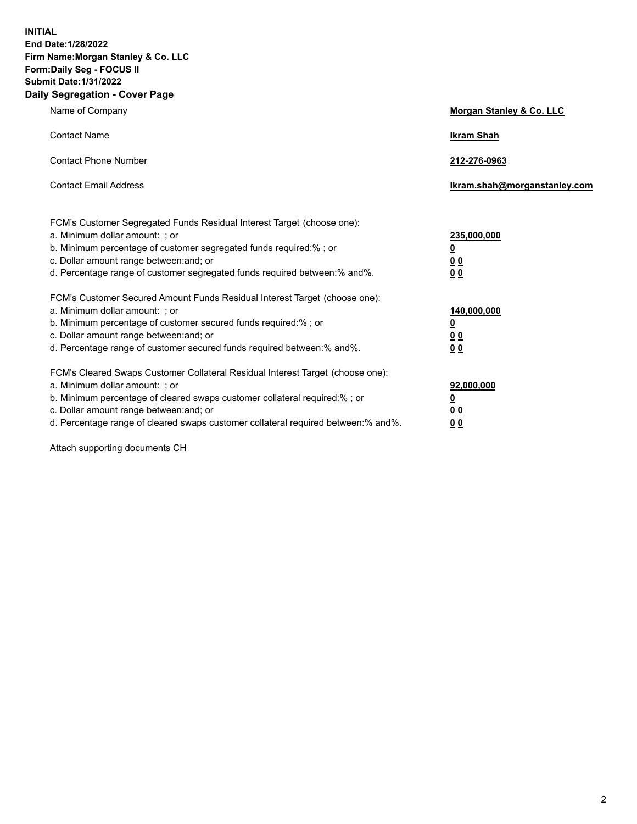**INITIAL End Date:1/28/2022 Firm Name:Morgan Stanley & Co. LLC Form:Daily Seg - FOCUS II Submit Date:1/31/2022 Daily Segregation - Cover Page**

| Name of Company                                                                                                                                                                                                                                                                                                                | Morgan Stanley & Co. LLC                               |
|--------------------------------------------------------------------------------------------------------------------------------------------------------------------------------------------------------------------------------------------------------------------------------------------------------------------------------|--------------------------------------------------------|
| <b>Contact Name</b>                                                                                                                                                                                                                                                                                                            | <b>Ikram Shah</b>                                      |
| <b>Contact Phone Number</b>                                                                                                                                                                                                                                                                                                    | 212-276-0963                                           |
| <b>Contact Email Address</b>                                                                                                                                                                                                                                                                                                   | Ikram.shah@morganstanley.com                           |
| FCM's Customer Segregated Funds Residual Interest Target (choose one):<br>a. Minimum dollar amount: : or<br>b. Minimum percentage of customer segregated funds required:%; or<br>c. Dollar amount range between: and; or<br>d. Percentage range of customer segregated funds required between:% and%.                          | 235,000,000<br><u>0</u><br>0 Q<br><u>00</u>            |
| FCM's Customer Secured Amount Funds Residual Interest Target (choose one):<br>a. Minimum dollar amount: ; or<br>b. Minimum percentage of customer secured funds required:%; or<br>c. Dollar amount range between: and; or<br>d. Percentage range of customer secured funds required between:% and%.                            | 140,000,000<br><u>0</u><br><u>00</u><br>0 <sub>0</sub> |
| FCM's Cleared Swaps Customer Collateral Residual Interest Target (choose one):<br>a. Minimum dollar amount: ; or<br>b. Minimum percentage of cleared swaps customer collateral required:% ; or<br>c. Dollar amount range between: and; or<br>d. Percentage range of cleared swaps customer collateral required between:% and%. | 92,000,000<br><u>0</u><br><u>00</u><br>0 <sub>0</sub>  |

Attach supporting documents CH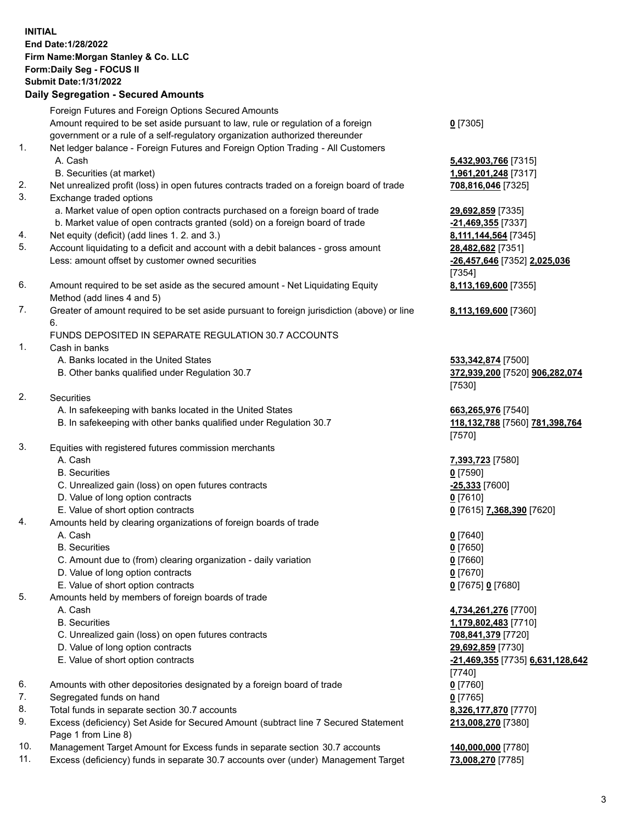## **INITIAL End Date:1/28/2022 Firm Name:Morgan Stanley & Co. LLC Form:Daily Seg - FOCUS II Submit Date:1/31/2022 Daily Segregation - Secured Amounts** Foreign Futures and Foreign Options Secured Amounts Amount required to be set aside pursuant to law, rule or regulation of a foreign government or a rule of a self-regulatory organization authorized thereunder 1. Net ledger balance - Foreign Futures and Foreign Option Trading - All Customers A. Cash **5,432,903,766** [7315] B. Securities (at market) **1,961,201,248** [7317] 2. Net unrealized profit (loss) in open futures contracts traded on a foreign board of trade **708,816,046** [7325] 3. Exchange traded options a. Market value of open option contracts purchased on a foreign board of trade **29,692,859** [7335] b. Market value of open contracts granted (sold) on a foreign board of trade **-21,469,355** [7337] 4. Net equity (deficit) (add lines 1. 2. and 3.) **8,111,144,564** [7345] 5. Account liquidating to a deficit and account with a debit balances - gross amount **28,482,682** [7351] Less: amount offset by customer owned securities **-26,457,646** [7352] **2,025,036** 6. Amount required to be set aside as the secured amount - Net Liquidating Equity Method (add lines 4 and 5) 7. Greater of amount required to be set aside pursuant to foreign jurisdiction (above) or line 6. FUNDS DEPOSITED IN SEPARATE REGULATION 30.7 ACCOUNTS 1. Cash in banks A. Banks located in the United States **533,342,874** [7500] B. Other banks qualified under Regulation 30.7 **372,939,200** [7520] **906,282,074** 2. Securities A. In safekeeping with banks located in the United States **663,265,976** [7540] B. In safekeeping with other banks qualified under Regulation 30.7 **118,132,788** [7560] **781,398,764** 3. Equities with registered futures commission merchants A. Cash **7,393,723** [7580] B. Securities **0** [7590] C. Unrealized gain (loss) on open futures contracts **-25,333** [7600] D. Value of long option contracts **0** [7610] E. Value of short option contracts **0** [7615] **7,368,390** [7620] 4. Amounts held by clearing organizations of foreign boards of trade A. Cash **0** [7640] B. Securities **0** [7650] C. Amount due to (from) clearing organization - daily variation **0** [7660] D. Value of long option contracts **0** [7670] E. Value of short option contracts **0** [7675] **0** [7680] 5. Amounts held by members of foreign boards of trade A. Cash **4,734,261,276** [7700] B. Securities **1,179,802,483** [7710] C. Unrealized gain (loss) on open futures contracts **708,841,379** [7720] D. Value of long option contracts **29,692,859** [7730] E. Value of short option contracts **-21,469,355** [7735] **6,631,128,642**

- 6. Amounts with other depositories designated by a foreign board of trade **0** [7760]
- 7. Segregated funds on hand **0** [7765]
- 8. Total funds in separate section 30.7 accounts **8,326,177,870** [7770]
- 9. Excess (deficiency) Set Aside for Secured Amount (subtract line 7 Secured Statement Page 1 from Line 8)
- 10. Management Target Amount for Excess funds in separate section 30.7 accounts **140,000,000** [7780]
- 11. Excess (deficiency) funds in separate 30.7 accounts over (under) Management Target **73,008,270** [7785]

**213,008,270** [7380]

**0** [7305]

[7354]

[7530]

[7570]

[7740]

**8,113,169,600** [7355]

**8,113,169,600** [7360]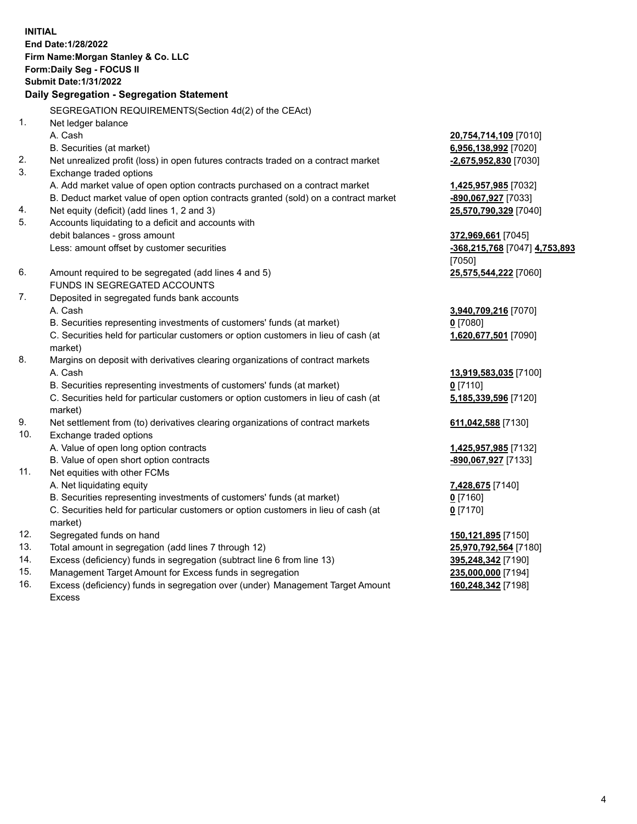**INITIAL End Date:1/28/2022 Firm Name:Morgan Stanley & Co. LLC Form:Daily Seg - FOCUS II Submit Date:1/31/2022 Daily Segregation - Segregation Statement** SEGREGATION REQUIREMENTS(Section 4d(2) of the CEAct) 1. Net ledger balance A. Cash **20,754,714,109** [7010] B. Securities (at market) **6,956,138,992** [7020] 2. Net unrealized profit (loss) in open futures contracts traded on a contract market **-2,675,952,830** [7030] 3. Exchange traded options A. Add market value of open option contracts purchased on a contract market **1,425,957,985** [7032] B. Deduct market value of open option contracts granted (sold) on a contract market **-890,067,927** [7033] 4. Net equity (deficit) (add lines 1, 2 and 3) **25,570,790,329** [7040] 5. Accounts liquidating to a deficit and accounts with debit balances - gross amount **372,969,661** [7045] Less: amount offset by customer securities **-368,215,768** [7047] **4,753,893** [7050] 6. Amount required to be segregated (add lines 4 and 5) **25,575,544,222** [7060] FUNDS IN SEGREGATED ACCOUNTS 7. Deposited in segregated funds bank accounts A. Cash **3,940,709,216** [7070] B. Securities representing investments of customers' funds (at market) **0** [7080] C. Securities held for particular customers or option customers in lieu of cash (at market) **1,620,677,501** [7090] 8. Margins on deposit with derivatives clearing organizations of contract markets A. Cash **13,919,583,035** [7100] B. Securities representing investments of customers' funds (at market) **0** [7110] C. Securities held for particular customers or option customers in lieu of cash (at market) **5,185,339,596** [7120] 9. Net settlement from (to) derivatives clearing organizations of contract markets **611,042,588** [7130] 10. Exchange traded options A. Value of open long option contracts **1,425,957,985** [7132] B. Value of open short option contracts **-890,067,927** [7133] 11. Net equities with other FCMs A. Net liquidating equity **7,428,675** [7140] B. Securities representing investments of customers' funds (at market) **0** [7160] C. Securities held for particular customers or option customers in lieu of cash (at market) **0** [7170] 12. Segregated funds on hand **150,121,895** [7150] 13. Total amount in segregation (add lines 7 through 12) **25,970,792,564** [7180] 14. Excess (deficiency) funds in segregation (subtract line 6 from line 13) **395,248,342** [7190] 15. Management Target Amount for Excess funds in segregation **235,000,000** [7194]

16. Excess (deficiency) funds in segregation over (under) Management Target Amount Excess

**160,248,342** [7198]